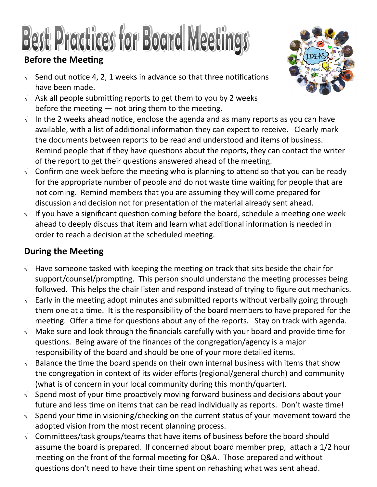## Best Pradices for Board Meetings **Before the Meeting**

- $\sqrt{ }$  Send out notice 4, 2, 1 weeks in advance so that three notifications have been made.
- $\sqrt{ }$  Ask all people submitting reports to get them to you by 2 weeks before the meeting  $-$  not bring them to the meeting.
- $\sqrt{ }$  In the 2 weeks ahead notice, enclose the agenda and as many reports as you can have available, with a list of additional information they can expect to receive. Clearly mark the documents between reports to be read and understood and items of business. Remind people that if they have questions about the reports, they can contact the writer of the report to get their questions answered ahead of the meeting.
- $\sqrt{ }$  Confirm one week before the meeting who is planning to attend so that you can be ready for the appropriate number of people and do not waste time waiting for people that are not coming. Remind members that you are assuming they will come prepared for discussion and decision not for presentation of the material already sent ahead.
- $\sqrt{ }$  If you have a significant question coming before the board, schedule a meeting one week ahead to deeply discuss that item and learn what additional information is needed in order to reach a decision at the scheduled meeting.

### **During the Meeting**

- $\sqrt{ }$  Have someone tasked with keeping the meeting on track that sits beside the chair for support/counsel/prompting. This person should understand the meeting processes being followed. This helps the chair listen and respond instead of trying to figure out mechanics.
- $\sqrt{ }$  Early in the meeting adopt minutes and submitted reports without verbally going through them one at a time. It is the responsibility of the board members to have prepared for the meeting. Offer a time for questions about any of the reports. Stay on track with agenda.
- $\sqrt{ }$  Make sure and look through the financials carefully with your board and provide time for questions. Being aware of the finances of the congregation/agency is a major responsibility of the board and should be one of your more detailed items.
- $\sqrt{ }$  Balance the time the board spends on their own internal business with items that show the congregation in context of its wider efforts (regional/general church) and community (what is of concern in your local community during this month/quarter).
- $\sqrt{ }$  Spend most of your time proactively moving forward business and decisions about your future and less time on items that can be read individually as reports. Don't waste time!
- $\sqrt{ }$  Spend your time in visioning/checking on the current status of your movement toward the adopted vision from the most recent planning process.
- $\sqrt{ }$  Committees/task groups/teams that have items of business before the board should assume the board is prepared. If concerned about board member prep, attach a 1/2 hour meeting on the front of the formal meeting for Q&A. Those prepared and without questions don't need to have their time spent on rehashing what was sent ahead.